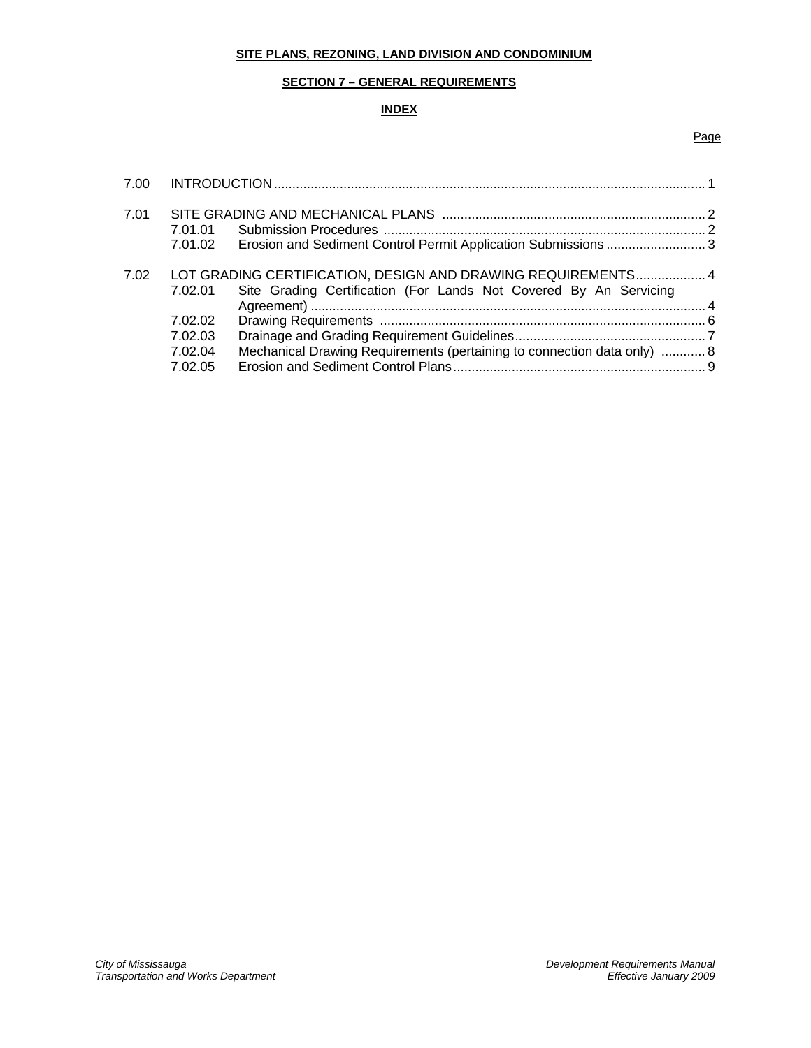# **SITE PLANS, REZONING, LAND DIVISION AND CONDOMINIUM**

### **SECTION 7 – GENERAL REQUIREMENTS**

### **INDEX**

#### Page

| 7.00 |                                                                                                                                              |                                                                         |  |
|------|----------------------------------------------------------------------------------------------------------------------------------------------|-------------------------------------------------------------------------|--|
| 7.01 | 7.01.01<br>7.01.02                                                                                                                           |                                                                         |  |
| 7.02 | LOT GRADING CERTIFICATION, DESIGN AND DRAWING REQUIREMENTS 4<br>Site Grading Certification (For Lands Not Covered By An Servicing<br>7.02.01 |                                                                         |  |
|      | 7.02.02<br>7.02.03                                                                                                                           |                                                                         |  |
|      | 7.02.04<br>7.02.05                                                                                                                           | Mechanical Drawing Requirements (pertaining to connection data only)  8 |  |
|      |                                                                                                                                              |                                                                         |  |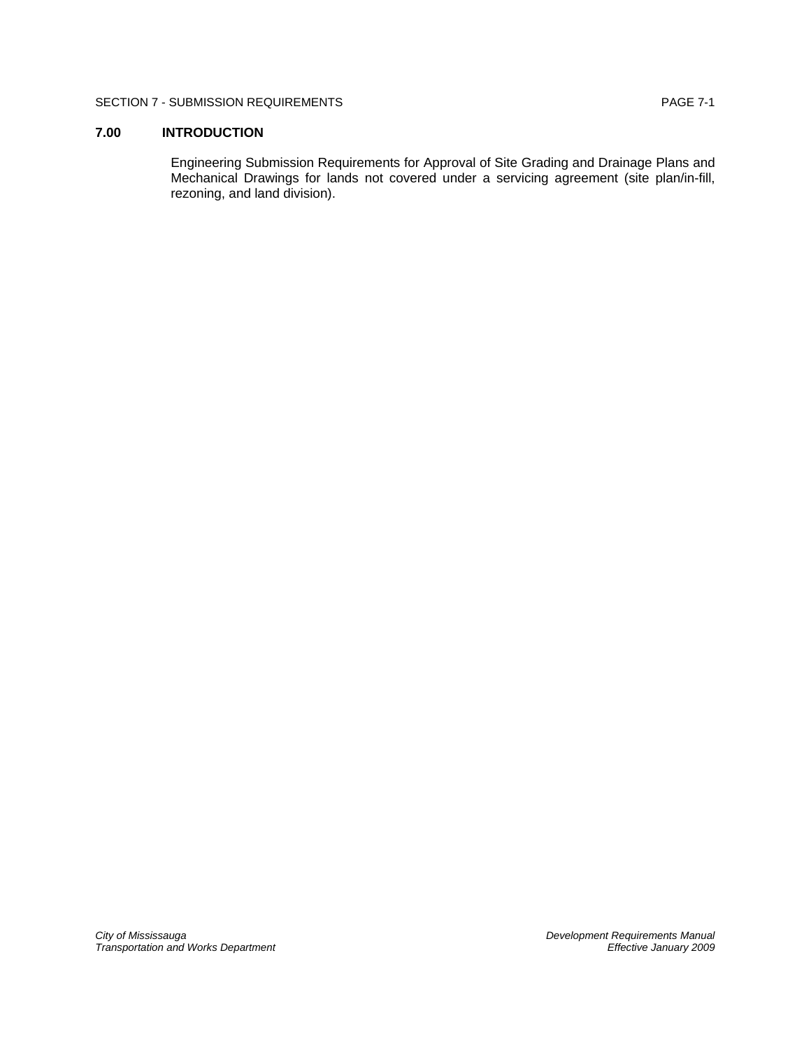### SECTION 7 - SUBMISSION REQUIREMENTS **Example 2018** PAGE 7-1

## **7.00 INTRODUCTION**

Engineering Submission Requirements for Approval of Site Grading and Drainage Plans and Mechanical Drawings for lands not covered under a servicing agreement (site plan/in-fill, rezoning, and land division).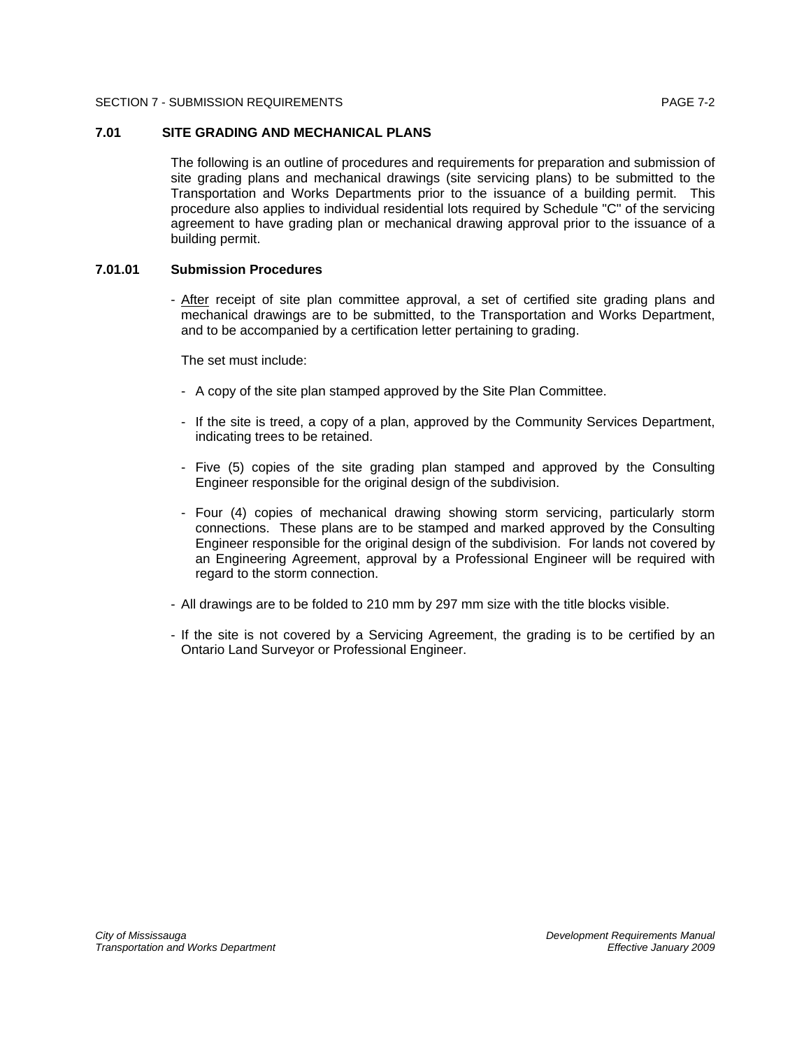#### SECTION 7 - SUBMISSION REQUIREMENTS **Example 2018** 2019 12:00 PAGE 7-2

### **7.01 SITE GRADING AND MECHANICAL PLANS**

The following is an outline of procedures and requirements for preparation and submission of site grading plans and mechanical drawings (site servicing plans) to be submitted to the Transportation and Works Departments prior to the issuance of a building permit. This procedure also applies to individual residential lots required by Schedule "C" of the servicing agreement to have grading plan or mechanical drawing approval prior to the issuance of a building permit.

#### **7.01.01 Submission Procedures**

- After receipt of site plan committee approval, a set of certified site grading plans and mechanical drawings are to be submitted, to the Transportation and Works Department, and to be accompanied by a certification letter pertaining to grading.

The set must include:

- A copy of the site plan stamped approved by the Site Plan Committee.
- If the site is treed, a copy of a plan, approved by the Community Services Department, indicating trees to be retained.
- Five (5) copies of the site grading plan stamped and approved by the Consulting Engineer responsible for the original design of the subdivision.
- Four (4) copies of mechanical drawing showing storm servicing, particularly storm connections. These plans are to be stamped and marked approved by the Consulting Engineer responsible for the original design of the subdivision. For lands not covered by an Engineering Agreement, approval by a Professional Engineer will be required with regard to the storm connection.
- All drawings are to be folded to 210 mm by 297 mm size with the title blocks visible.
- If the site is not covered by a Servicing Agreement, the grading is to be certified by an Ontario Land Surveyor or Professional Engineer.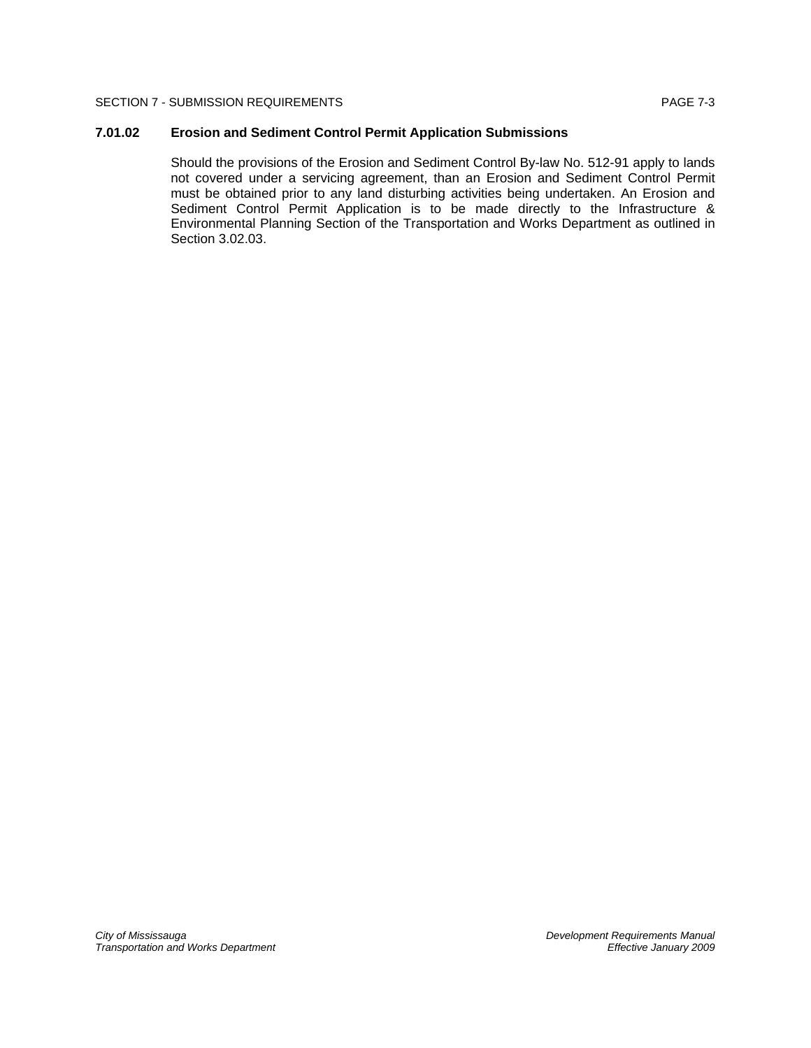#### SECTION 7 - SUBMISSION REQUIREMENTS **Example 2018** PAGE 7-3

### **7.01.02 Erosion and Sediment Control Permit Application Submissions**

Should the provisions of the Erosion and Sediment Control By-law No. 512-91 apply to lands not covered under a servicing agreement, than an Erosion and Sediment Control Permit must be obtained prior to any land disturbing activities being undertaken. An Erosion and Sediment Control Permit Application is to be made directly to the Infrastructure & Environmental Planning Section of the Transportation and Works Department as outlined in Section 3.02.03.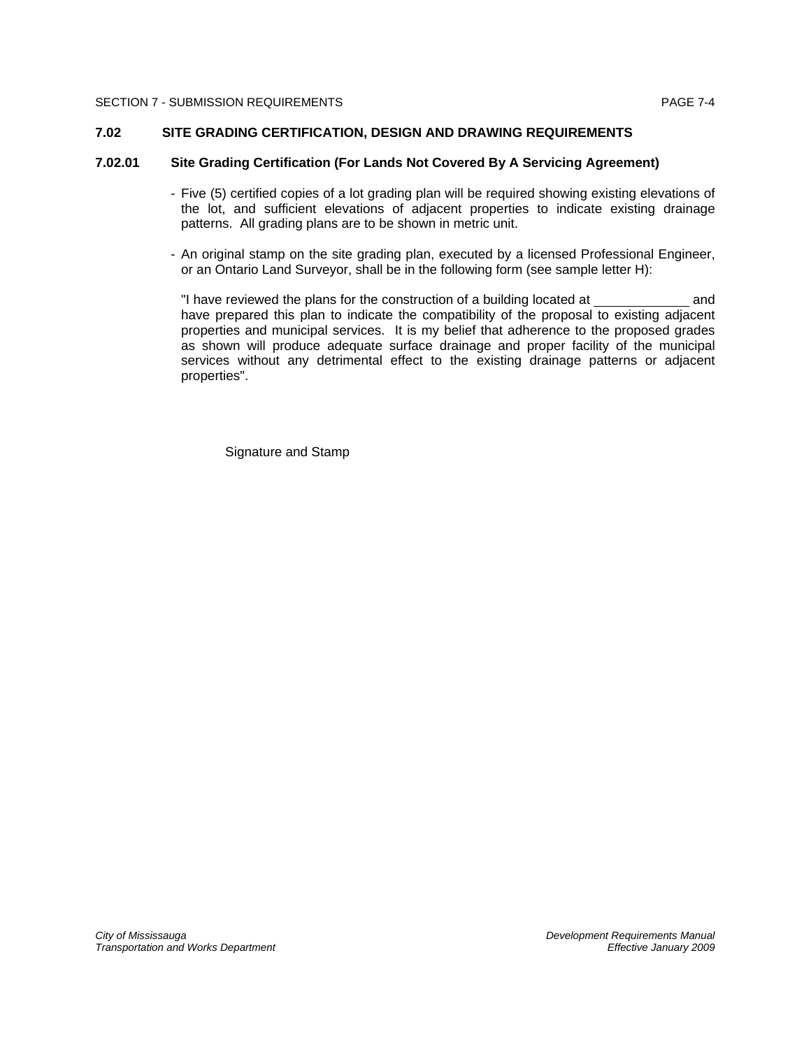#### **7.02 SITE GRADING CERTIFICATION, DESIGN AND DRAWING REQUIREMENTS**

### **7.02.01 Site Grading Certification (For Lands Not Covered By A Servicing Agreement)**

- Five (5) certified copies of a lot grading plan will be required showing existing elevations of the lot, and sufficient elevations of adjacent properties to indicate existing drainage patterns. All grading plans are to be shown in metric unit.
- An original stamp on the site grading plan, executed by a licensed Professional Engineer, or an Ontario Land Surveyor, shall be in the following form (see sample letter H):

"I have reviewed the plans for the construction of a building located at and have prepared this plan to indicate the compatibility of the proposal to existing adjacent properties and municipal services. It is my belief that adherence to the proposed grades as shown will produce adequate surface drainage and proper facility of the municipal services without any detrimental effect to the existing drainage patterns or adjacent properties".

Signature and Stamp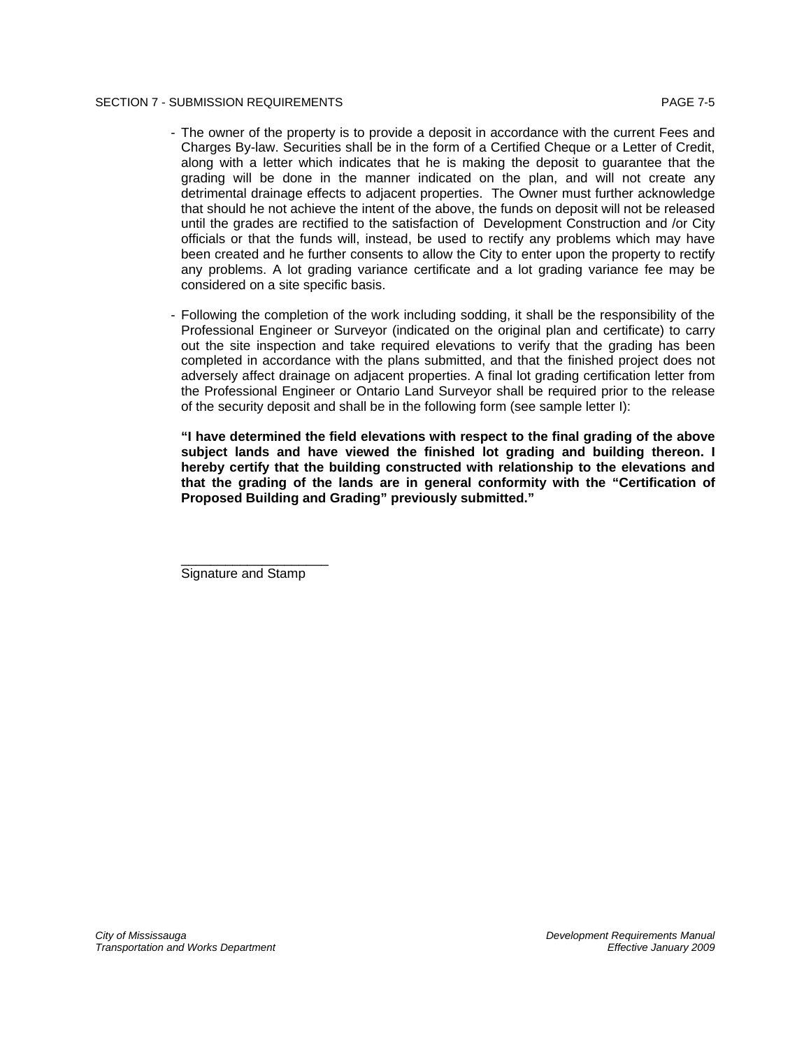#### SECTION 7 - SUBMISSION REQUIREMENTS AND RESERVE TO A SECTION 7 - SUBMISSION REQUIREMENTS

- The owner of the property is to provide a deposit in accordance with the current Fees and Charges By-law. Securities shall be in the form of a Certified Cheque or a Letter of Credit, along with a letter which indicates that he is making the deposit to guarantee that the grading will be done in the manner indicated on the plan, and will not create any detrimental drainage effects to adjacent properties. The Owner must further acknowledge that should he not achieve the intent of the above, the funds on deposit will not be released until the grades are rectified to the satisfaction of Development Construction and /or City officials or that the funds will, instead, be used to rectify any problems which may have been created and he further consents to allow the City to enter upon the property to rectify any problems. A lot grading variance certificate and a lot grading variance fee may be considered on a site specific basis.
- Following the completion of the work including sodding, it shall be the responsibility of the Professional Engineer or Surveyor (indicated on the original plan and certificate) to carry out the site inspection and take required elevations to verify that the grading has been completed in accordance with the plans submitted, and that the finished project does not adversely affect drainage on adjacent properties. A final lot grading certification letter from the Professional Engineer or Ontario Land Surveyor shall be required prior to the release of the security deposit and shall be in the following form (see sample letter I):

**"I have determined the field elevations with respect to the final grading of the above subject lands and have viewed the finished lot grading and building thereon. I hereby certify that the building constructed with relationship to the elevations and that the grading of the lands are in general conformity with the "Certification of Proposed Building and Grading" previously submitted."** 

Signature and Stamp

\_\_\_\_\_\_\_\_\_\_\_\_\_\_\_\_\_\_\_\_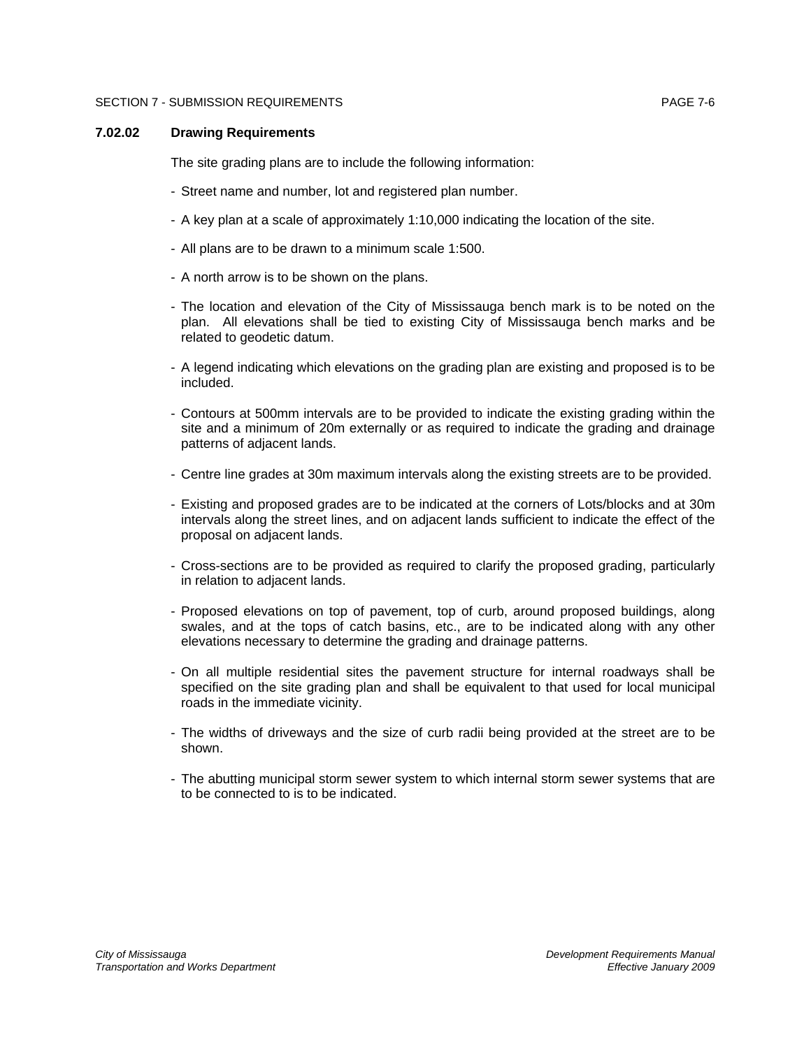#### SECTION 7 - SUBMISSION REQUIREMENTS **Example 2018** 2019 12:00 PAGE 7-6

#### **7.02.02 Drawing Requirements**

The site grading plans are to include the following information:

- Street name and number, lot and registered plan number.
- A key plan at a scale of approximately 1:10,000 indicating the location of the site.
- All plans are to be drawn to a minimum scale 1:500.
- A north arrow is to be shown on the plans.
- The location and elevation of the City of Mississauga bench mark is to be noted on the plan. All elevations shall be tied to existing City of Mississauga bench marks and be related to geodetic datum.
- A legend indicating which elevations on the grading plan are existing and proposed is to be included.
- Contours at 500mm intervals are to be provided to indicate the existing grading within the site and a minimum of 20m externally or as required to indicate the grading and drainage patterns of adjacent lands.
- Centre line grades at 30m maximum intervals along the existing streets are to be provided.
- Existing and proposed grades are to be indicated at the corners of Lots/blocks and at 30m intervals along the street lines, and on adjacent lands sufficient to indicate the effect of the proposal on adjacent lands.
- Cross-sections are to be provided as required to clarify the proposed grading, particularly in relation to adjacent lands.
- Proposed elevations on top of pavement, top of curb, around proposed buildings, along swales, and at the tops of catch basins, etc., are to be indicated along with any other elevations necessary to determine the grading and drainage patterns.
- On all multiple residential sites the pavement structure for internal roadways shall be specified on the site grading plan and shall be equivalent to that used for local municipal roads in the immediate vicinity.
- The widths of driveways and the size of curb radii being provided at the street are to be shown.
- The abutting municipal storm sewer system to which internal storm sewer systems that are to be connected to is to be indicated.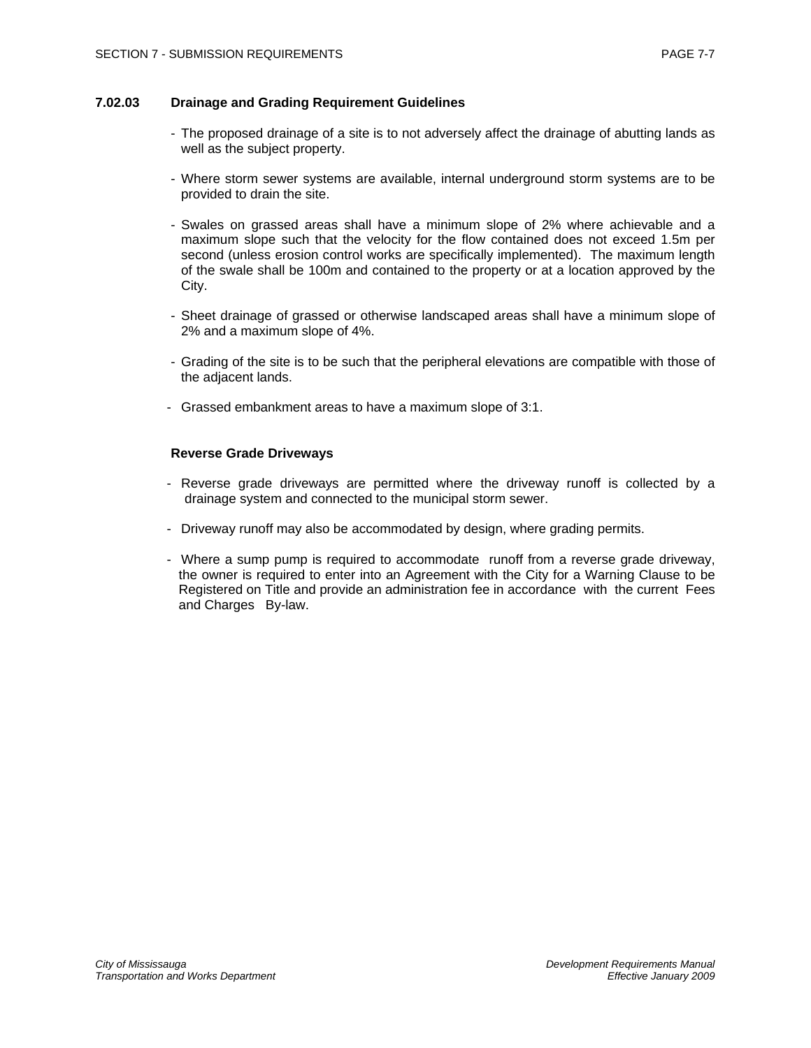### **7.02.03 Drainage and Grading Requirement Guidelines**

- The proposed drainage of a site is to not adversely affect the drainage of abutting lands as well as the subject property.
- Where storm sewer systems are available, internal underground storm systems are to be provided to drain the site.
- Swales on grassed areas shall have a minimum slope of 2% where achievable and a maximum slope such that the velocity for the flow contained does not exceed 1.5m per second (unless erosion control works are specifically implemented). The maximum length of the swale shall be 100m and contained to the property or at a location approved by the City.
- Sheet drainage of grassed or otherwise landscaped areas shall have a minimum slope of 2% and a maximum slope of 4%.
- Grading of the site is to be such that the peripheral elevations are compatible with those of the adjacent lands.
- Grassed embankment areas to have a maximum slope of 3:1.

### **Reverse Grade Driveways**

- Reverse grade driveways are permitted where the driveway runoff is collected by a drainage system and connected to the municipal storm sewer.
- Driveway runoff may also be accommodated by design, where grading permits.
- Where a sump pump is required to accommodate runoff from a reverse grade driveway, the owner is required to enter into an Agreement with the City for a Warning Clause to be Registered on Title and provide an administration fee in accordance with the current Fees and Charges By-law.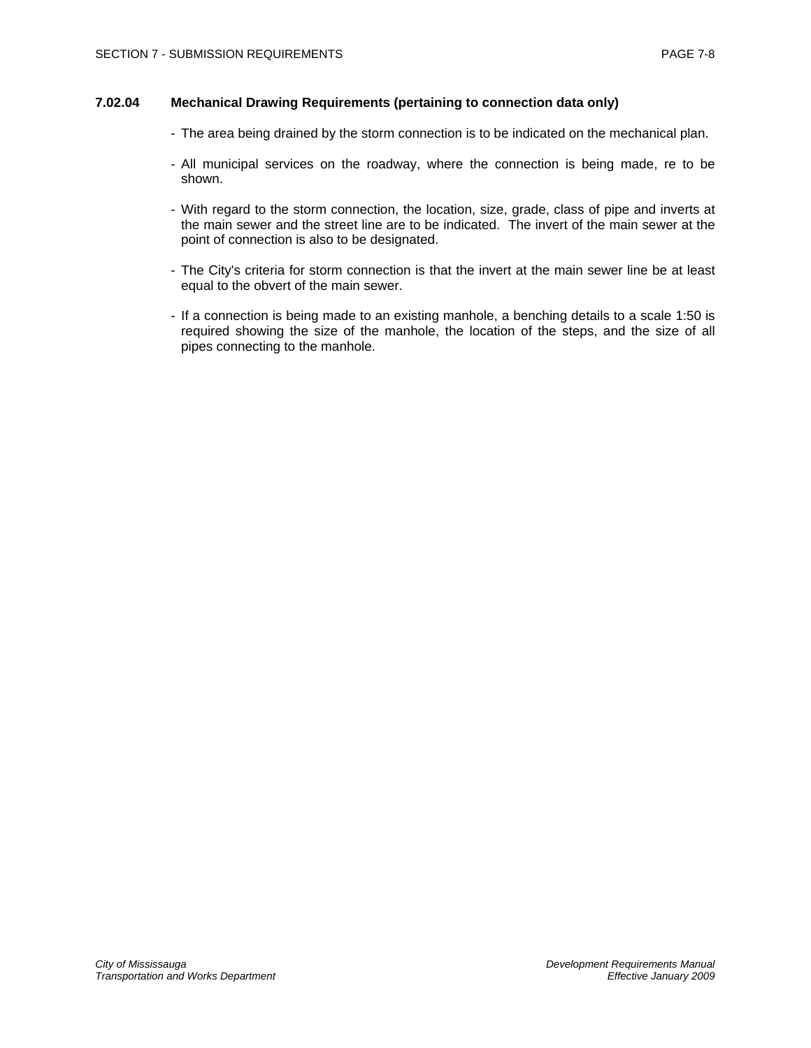### **7.02.04 Mechanical Drawing Requirements (pertaining to connection data only)**

- The area being drained by the storm connection is to be indicated on the mechanical plan.
- All municipal services on the roadway, where the connection is being made, re to be shown.
- With regard to the storm connection, the location, size, grade, class of pipe and inverts at the main sewer and the street line are to be indicated. The invert of the main sewer at the point of connection is also to be designated.
- The City's criteria for storm connection is that the invert at the main sewer line be at least equal to the obvert of the main sewer.
- If a connection is being made to an existing manhole, a benching details to a scale 1:50 is required showing the size of the manhole, the location of the steps, and the size of all pipes connecting to the manhole.